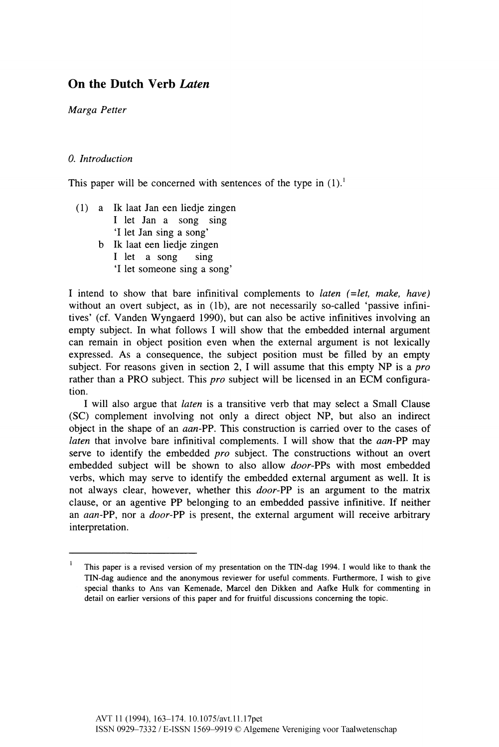# On the Dutch Verb *Laten*

*Marga Petter* 

# *0. Introduction*

This paper will be concerned with sentences of the type in  $(1)$ .<sup>1</sup>

- (1) a Ik laat Jan een liedje zingen I let Jan a song sing 'I let Jan sing a song'
	- b Ik laat een liedje zingen I let a song sing 'I let someone sing a song'

I intend to show that bare infinitival complements to *laten (-let, make, have)*  without an overt subject, as in (1b), are not necessarily so-called 'passive infinitives' (cf. Vanden Wyngaerd 1990), but can also be active infinitives involving an empty subject. In what follows I will show that the embedded internal argument can remain in object position even when the external argument is not lexically expressed. As a consequence, the subject position must be filled by an empty subject. For reasons given in section 2, I will assume that this empty NP is a *pro*  rather than a PRO subject. This *pro* subject will be licensed in an ECM configuration.

I will also argue that *laten* is a transitive verb that may select a Small Clause (SC) complement involving not only a direct object NP, but also an indirect object in the shape of an *aan-PP.* This construction is carried over to the cases of *laten* that involve bare infinitival complements. I will show that the *aan-PP* may serve to identify the embedded *pro* subject. The constructions without an overt embedded subject will be shown to also allow *door-PPs* with most embedded verbs, which may serve to identify the embedded external argument as well. It is not always clear, however, whether this *door-PP* is an argument to the matrix clause, or an agentive PP belonging to an embedded passive infinitive. If neither an *aan-PP,* nor a *door-PP* is present, the external argument will receive arbitrary interpretation.

<sup>&</sup>lt;sup>1</sup> This paper is a revised version of my presentation on the TIN-dag 1994. I would like to thank the TIN-dag audience and the anonymous reviewer for useful comments. Furthermore, I wish to give special thanks to Ans van Kemenade, Marcel den Dikken and Aafke Hulk for commenting in detail on earlier versions of this paper and for fruitful discussions concerning the topic.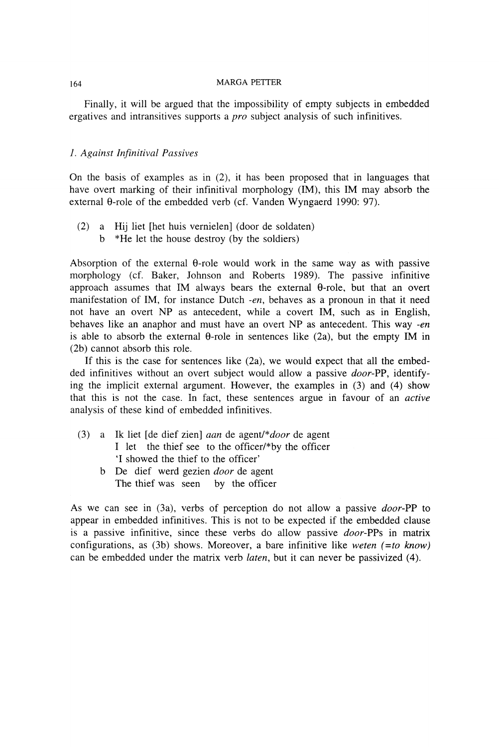Finally, it will be argued that the impossibility of empty subjects in embedded ergatives and intransitives supports a *pro* subject analysis of such infinitives.

# *1. Against Infinitival Passives*

On the basis of examples as in (2), it has been proposed that in languages that have overt marking of their infinitival morphology (IM), this IM may absorb the external  $\theta$ -role of the embedded verb (cf. Vanden Wyngaerd 1990: 97).

(2) a Hij liet [het huis vernielen] (door de soldaten) b \*He let the house destroy (by the soldiers)

Absorption of the external  $\theta$ -role would work in the same way as with passive morphology (cf. Baker, Johnson and Roberts 1989). The passive infinitive approach assumes that IM always bears the external θ-role, but that an overt manifestation of IM, for instance Dutch *-en,* behaves as a pronoun in that it need not have an overt NP as antecedent, while a covert IM, such as in English, behaves like an anaphor and must have an overt NP as antecedent. This way *-en*  is able to absorb the external θ-role in sentences like (2a), but the empty IM in (2b) cannot absorb this role.

If this is the case for sentences like (2a), we would expect that all the embedded infinitives without an overt subject would allow a passive *door-PP,* identifying the implicit external argument. However, the examples in (3) and (4) show that this is not the case. In fact, these sentences argue in favour of an *active*  analysis of these kind of embedded infinitives.

- (3) a Ik liet [de dief zien] *aan* de agent/*\*door* de agent I let the thief see to the officer/\*by the officer T showed the thief to the officer'
	- b De dief werd gezien *door* de agent The thief was seen by the officer

As we can see in (3a), verbs of perception do not allow a passive *door-PP* to appear in embedded infinitives. This is not to be expected if the embedded clause is a passive infinitive, since these verbs do allow passive *door-PPs* in matrix configurations, as (3b) shows. Moreover, a bare infinitive like *weten (=to know)*  can be embedded under the matrix verb *laten,* but it can never be passivized (4).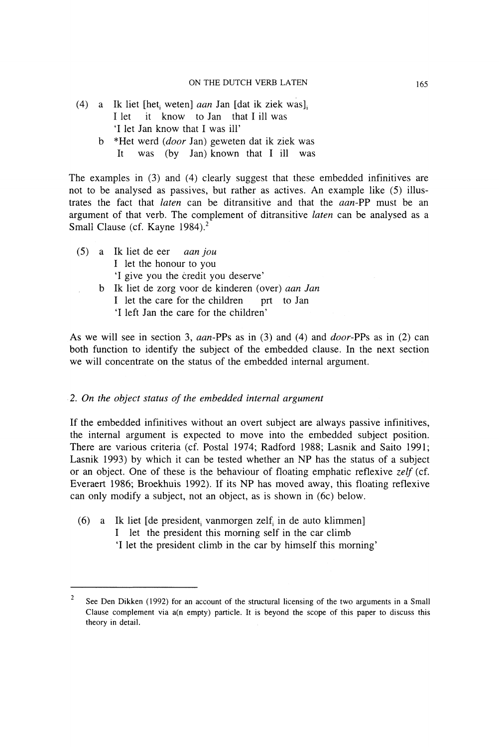- (4) a Ik liet [het<sub>i</sub> weten] *aan* Jan [dat ik ziek was]<sub>i</sub> I let it know to Jan that I ill was 'I let Jan know that I was ill'
	- b \*Het werd *(door* Jan) geweten dat ik ziek was It was (by Jan) known that I ill was

The examples in (3) and (4) clearly suggest that these embedded infinitives are not to be analysed as passives, but rather as actives. An example like (5) illustrates the fact that *laten* can be ditransitive and that the *aan-PP* must be an argument of that verb. The complement of ditransitive *laten* can be analysed as a Small Clause (cf. Kayne 1984).<sup>2</sup>

(5) a Ik liet de eer *aan jou*  I let the honour to you 'I give you the credit you deserve' b Ik liet de zorg voor de kinderen (over) *aan Jan*  I let the care for the children prt to Jan 'I left Jan the care for the children'

As we will see in section 3, *aan-PPs* as in (3) and (4) and *door-PPs* as in (2) can both function to identify the subject of the embedded clause. In the next section we will concentrate on the status of the embedded internal argument.

### 2. *On the object status of the embedded internal argument*

If the embedded infinitives without an overt subject are always passive infinitives, the internal argument is expected to move into the embedded subject position. There are various criteria (cf. Postal 1974; Radford 1988; Lasnik and Saito 1991; Lasnik 1993) by which it can be tested whether an NP has the status of a subject or an object. One of these is the behaviour of floating emphatic reflexive *zelf* (cf. Everaert 1986; Broekhuis 1992). If its NP has moved away, this floating reflexive can only modify a subject, not an object, as is shown in (6c) below.

(6) a Ik liet [de president<sub>i</sub> vanmorgen zelf<sub>i</sub> in de auto klimmen] I let the president this morning self in the car climb T let the president climb in the car by himself this morning'

<sup>&</sup>lt;sup>2</sup> See Den Dikken (1992) for an account of the structural licensing of the two arguments in a Small Clause complement via a(n empty) particle. It is beyond the scope of this paper to discuss this theory in detail.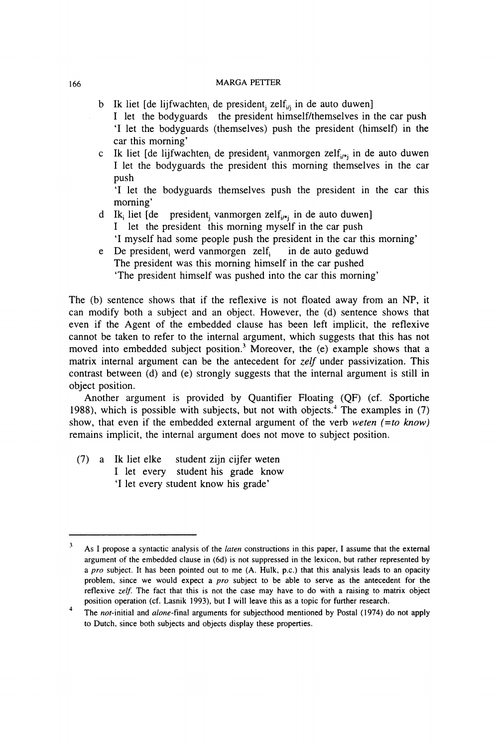- b Ik liet [de lijfwachten, de president, zelf<sub>ij</sub> in de auto duwen]
	- I let the bodyguards the president himself/themselves in the car push 'I let the bodyguards (themselves) push the president (himself) in the car this morning'
- c Ik liet [de lijfwachten<sub>i</sub> de president<sub>j</sub> vanmorgen zelf<sub>i/\*j</sub> in de auto duwen I let the bodyguards the president this morning themselves in the car push

'I let the bodyguards themselves push the president in the car this morning'

- d Ik<sub>i</sub> liet [de president<sub>i</sub> vanmorgen zelf<sub>i/\*j</sub> in de auto duwen] I let the president this morning myself in the car push 'I myself had some people push the president in the car this morning'
- e De president, werd vanmorgen zelf, in de auto geduwd The president was this morning himself in the car pushed 'The president himself was pushed into the car this morning'

The (b) sentence shows that if the reflexive is not floated away from an NP, it can modify both a subject and an object. However, the (d) sentence shows that even if the Agent of the embedded clause has been left implicit, the reflexive cannot be taken to refer to the internal argument, which suggests that this has not moved into embedded subject position.<sup>3</sup> Moreover, the  $(e)$  example shows that a matrix internal argument can be the antecedent for *zelf* under passivization. This contrast between (d) and (e) strongly suggests that the internal argument is still in object position.

Another argument is provided by Quantifier Floating (QF) (cf. Sportiche 1988), which is possible with subjects, but not with objects.<sup>4</sup> The examples in (7) show, that even if the embedded external argument of the verb *weten (=to know)*  remains implicit, the internal argument does not move to subject position.

(7) a Ik liet elke student zijn cijfer weten I let every student his grade know 'I let every student know his grade'

<sup>3</sup>As I propose a syntactic analysis of the *laten* constructions in this paper, I assume that the external argument of the embedded clause in (6d) is not suppressed in the lexicon, but rather represented by a *pro* subject. It has been pointed out to me (A. Hulk, p.c.) that this analysis leads to an opacity problem, since we would expect a *pro* subject to be able to serve as the antecedent for the reflexive *zelf.* The fact that this is not the case may have to do with a raising to matrix object position operation (cf. Lasnik 1993), but I will leave this as a topic for further research.

<sup>4</sup>  The not-initial and *alone-*final arguments for subjecthood mentioned by Postal (1974) do not apply to Dutch, since both subjects and objects display these properties.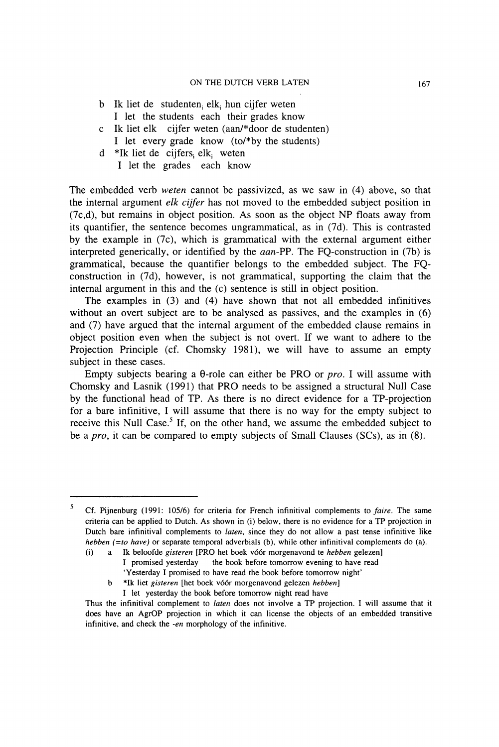- b Ik liet de studenten<sub>i</sub> elk<sub>i</sub> hun cijfer weten I let the students each their grades know
- c Ik liet elk cijfer weten (aan/\*door de studenten) I let every grade know (to/\*by the students)
- d \*Ik liet de cijfers, elk, weten
	- I let the grades each know

The embedded verb *weten* cannot be passivized, as we saw in (4) above, so that the internal argument *elk cijfer* has not moved to the embedded subject position in (7c,d), but remains in object position. As soon as the object NP floats away from its quantifier, the sentence becomes ungrammatical, as in (7d). This is contrasted by the example in (7c), which is grammatical with the external argument either interpreted generically, or identified by the *aan-PP.* The FQ-construction in (7b) is grammatical, because the quantifier belongs to the embedded subject. The FQconstruction in (7d), however, is not grammatical, supporting the claim that the internal argument in this and the (c) sentence is still in object position.

The examples in (3) and (4) have shown that not all embedded infinitives without an overt subject are to be analysed as passives, and the examples in (6) and (7) have argued that the internal argument of the embedded clause remains in object position even when the subject is not overt. If we want to adhere to the Projection Principle (cf. Chomsky 1981), we will have to assume an empty subject in these cases.

Empty subjects bearing a θ-role can either be PRO or *pro.* I will assume with Chomsky and Lasnik (1991) that PRO needs to be assigned a structural Null Case by the functional head of TP. As there is no direct evidence for a TP-projection for a bare infinitive, I will assume that there is no way for the empty subject to receive this Null Case.<sup>5</sup> If, on the other hand, we assume the embedded subject to be a *pro,* it can be compared to empty subjects of Small Clauses (SCs), as in (8).

<sup>5</sup>Cf. Pijnenburg (1991: 105/6) for criteria for French infinitival complements to *faire.* The same criteria can be applied to Dutch. As shown in (i) below, there is no evidence for a TP projection in Dutch bare infinitival complements to *laten,* since they do not allow a past tense infinitive like *hebben* (=to have) or separate temporal adverbials (b), while other infinitival complements do (a).

<sup>(</sup>i) a Ik beloofde *gisteren* [PRO het boek vóór morgenavond te *hebben* gelezen] I promised yesterday the book before tomorrow evening to have read

<sup>&#</sup>x27;Yesterday I promised to have read the book before tomorrow night'

b \*Ik liet *gisteren* [het boek vóór morgenavond gelezen *hebben]* 

I let yesterday the book before tomorrow night read have

Thus the infinitival complement to *laten* does not involve a TP projection. I will assume that it does have an AgrOP projection in which it can license the objects of an embedded transitive infinitive, and check the *-en* morphology of the infinitive.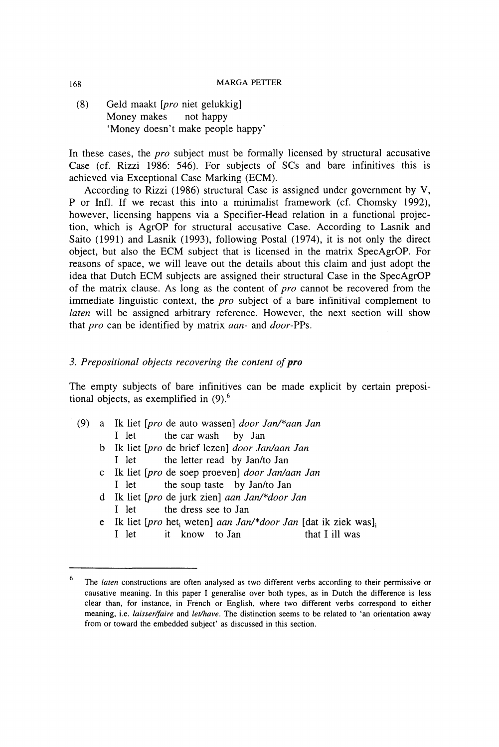(8) Geld maakt *[pro* niet gelukkig] Money makes not happy 'Money doesn't make people happy'

In these cases, the *pro* subject must be formally licensed by structural accusative Case (cf. Rizzi 1986: 546). For subjects of SCs and bare infinitives this is achieved via Exceptional Case Marking (ECM).

According to Rizzi (1986) structural Case is assigned under government by V, P or Infl. If we recast this into a minimalist framework (cf. Chomsky 1992), however, licensing happens via a Specifier-Head relation in a functional projection, which is AgrOP for structural accusative Case. According to Lasnik and Saito (1991) and Lasnik (1993), following Postal (1974), it is not only the direct object, but also the ECM subject that is licensed in the matrix SpecAgrOP. For reasons of space, we will leave out the details about this claim and just adopt the idea that Dutch ECM subjects are assigned their structural Case in the SpecAgrOP of the matrix clause. As long as the content of *pro* cannot be recovered from the immediate linguistic context, the *pro* subject of a bare infinitival complement to *laten* will be assigned arbitrary reference. However, the next section will show that *pro* can be identified by matrix *aan-* and *door-PPs.* 

# *3. Prepositional objects recovering the content of pro*

The empty subjects of bare infinitives can be made explicit by certain prepositional objects, as exemplified in  $(9)$ .<sup>6</sup>

- (9) a Ik liet *[pro* de auto wassen] *door Jan/\*aan Jan*  I let the car wash by Jan
	- b Ik liet *[pro* de brief lezen] *door Jan/aan Jan*  I let the letter read by Jan/to Jan
	- c Ik liet *[pro* de soep proeven] *door Jan/aan Jan*  I let the soup taste by Jan/to Jan
	- d Ik liet *[pro* de jurk zien] *aan Jan/\*door Jan*  I let the dress see to Jan
	- e Ik liet [*pro* het<sub>i</sub> weten] *aan Jan/\*door Jan* [dat ik ziek was]<sub>i</sub> I let it know to Jan that I ill was

**<sup>6</sup>**The *laten* constructions are often analysed as two different verbs according to their permissive or causative meaning. In this paper I generalise over both types, as in Dutch the difference is less clear than, for instance, in French or English, where two different verbs correspond to either meaning, i.e. *laisser/faire* and *let/have.* The distinction seems to be related to 'an orientation away from or toward the embedded subject' as discussed in this section.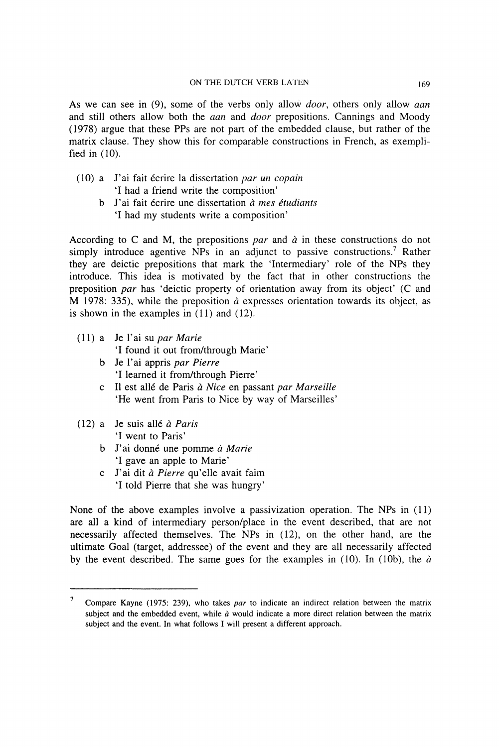As we can see in (9), some of the verbs only allow *door,* others only allow *aan*  and still others allow both the *aan* and *door* prepositions. Cannings and Moody (1978) argue that these PPs are not part of the embedded clause, but rather of the matrix clause. They show this for comparable constructions in French, as exemplified in (10).

- (10) a J'ai fait écrire la dissertation *par un copain*  'I had a friend write the composition'
	- b J'ai fait écrire une dissertation *à mes étudiants*  'I had my students write a composition'

According to C and M, the prepositions *par* and *à* in these constructions do not simply introduce agentive NPs in an adjunct to passive constructions.<sup>7</sup> Rather they are deictic prepositions that mark the 'Intermediary' role of the NPs they introduce. This idea is motivated by the fact that in other constructions the preposition *par* has 'deictic property of orientation away from its object' (C and M 1978: 335), while the preposition *à* expresses orientation towards its object, as is shown in the examples in (11) and (12).

(11) a Je l'ai su *par Marie* 

'I found it out from/through Marie'

- b Je l'ai appris *par Pierre*  'I learned it from/through Pierre'
- c II est allé de Paris *à Nice* en passant *par Marseille*  'He went from Paris to Nice by way of Marseilles'
- (12) a Je suis allé *à Paris*  'I went to Paris'
	- b J'ai donné une pomme *à Marie*  'I gave an apple to Marie'
	- c J'ai dit *à Pierre* qu'elle avait faim 'I told Pierre that she was hungry'

None of the above examples involve a passivization operation. The NPs in (11) are all a kind of intermediary person/place in the event described, that are not necessarily affected themselves. The NPs in (12), on the other hand, are the ultimate Goal (target, addressee) of the event and they are all necessarily affected by the event described. The same goes for the examples in (10). In (10b), the *à* 

<sup>7</sup>Compare Kayne (1975: 239), who takes *par* to indicate an indirect relation between the matrix subject and the embedded event, while *à* would indicate a more direct relation between the matrix subject and the event. In what follows I will present a different approach.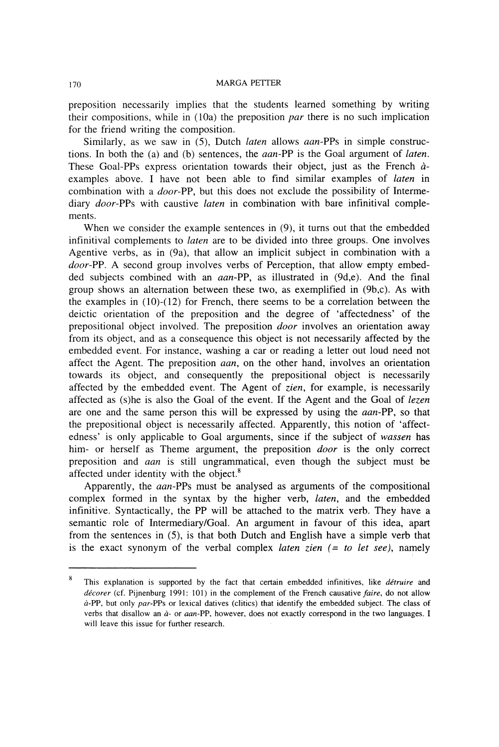preposition necessarily implies that the students learned something by writing their compositions, while in (10a) the preposition *par* there is no such implication for the friend writing the composition.

Similarly, as we saw in (5), Dutch *laten* allows *aan-*PPs in simple constructions. In both the (a) and (b) sentences, the *aan-PP* is the Goal argument of *laten.*  These Goal-PPs express orientation towards their object, just as the French *à*examples above. I have not been able to find similar examples of *laten* in combination with a *door-PP,* but this does not exclude the possibility of Intermediary *door-PPs* with caustive *laten* in combination with bare infinitival complements.

When we consider the example sentences in (9), it turns out that the embedded infinitival complements to *laten* are to be divided into three groups. One involves Agentive verbs, as in (9a), that allow an implicit subject in combination with a *door-PP.* A second group involves verbs of Perception, that allow empty embedded subjects combined with an *aan-PP,* as illustrated in (9d,e). And the final group shows an alternation between these two, as exemplified in (9b,c). As with the examples in  $(10)-(12)$  for French, there seems to be a correlation between the deictic orientation of the preposition and the degree of 'affectedness' of the prepositional object involved. The preposition *door* involves an orientation away from its object, and as a consequence this object is not necessarily affected by the embedded event. For instance, washing a car or reading a letter out loud need not affect the Agent. The preposition *aan,* on the other hand, involves an orientation towards its object, and consequently the prepositional object is necessarily affected by the embedded event. The Agent of *zien,* for example, is necessarily affected as (s)he is also the Goal of the event. If the Agent and the Goal of *lezen*  are one and the same person this will be expressed by using the *aan-PP,* so that the prepositional object is necessarily affected. Apparently, this notion of 'affectedness' is only applicable to Goal arguments, since if the subject of *wassen* has him- or herself as Theme argument, the preposition *door* is the only correct preposition and *aan* is still ungrammatical, even though the subject must be affected under identity with the object.<sup>8</sup>

Apparently, the *aan-PPs* must be analysed as arguments of the compositional complex formed in the syntax by the higher verb, *laten,* and the embedded infinitive. Syntactically, the PP will be attached to the matrix verb. They have a semantic role of Intermediary/Goal. An argument in favour of this idea, apart from the sentences in (5), is that both Dutch and English have a simple verb that is the exact synonym of the verbal complex *laten zien (= to let see),* namely

<sup>8</sup>This explanation is supported by the fact that certain embedded infinitives, like *détruire* and *décorer* (cf. Pijnenburg 1991: 101) in the complement of the French causative *faire,* do not allow à-PP, but only *par-PPs* or lexical datives (clitics) that identify the embedded subject. The class of verbs that disallow an *à-* or *aan-PP,* however, does not exactly correspond in the two languages. I will leave this issue for further research.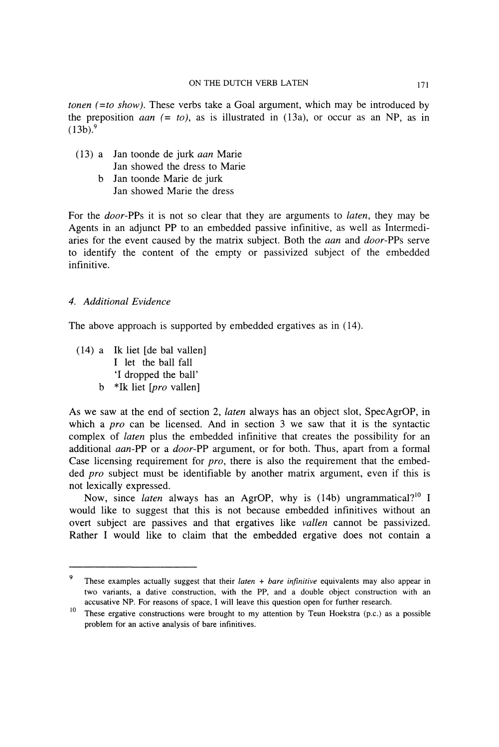*tonen (-to show).* These verbs take a Goal argument, which may be introduced by the preposition *aan*  $(= to)$ , as is illustrated in  $(13a)$ , or occur as an NP, as in  $(13b)^9$ 

- (13) a Jan toonde de jurk *aan* Marie Jan showed the dress to Marie
	- b Jan toonde Marie de jurk Jan showed Marie the dress

For the *door-PPs* it is not so clear that they are arguments to *laten,* they may be Agents in an adjunct PP to an embedded passive infinitive, as well as Intermediaries for the event caused by the matrix subject. Both the *aan* and *door-PPs* serve to identify the content of the empty or passivized subject of the embedded infinitive.

# *4. Additional Evidence*

The above approach is supported by embedded ergatives as in (14).

(14) a Ik liet [de bal vallen] I let the ball fall T dropped the ball' b \*Ik liet *[pro* vallen]

As we saw at the end of section 2, *laten* always has an object slot, SpecAgrOP, in which a *pro* can be licensed. And in section 3 we saw that it is the syntactic complex of *laten* plus the embedded infinitive that creates the possibility for an additional *aan-PP* or a *door-PP* argument, or for both. Thus, apart from a formal Case licensing requirement for *pro,* there is also the requirement that the embedded *pro* subject must be identifiable by another matrix argument, even if this is not lexically expressed.

Now, since *laten* always has an AgrOP, why is (14b) ungrammatical?<sup>10</sup> I would like to suggest that this is not because embedded infinitives without an overt subject are passives and that ergatives like *vallen* cannot be passivized. Rather I would like to claim that the embedded ergative does not contain a

**<sup>9</sup>**These examples actually suggest that their *laten + bare infinitive* equivalents may also appear in two variants, a dative construction, with the PP, and a double object construction with an accusative NP. For reasons of space, I will leave this question open for further research.

**<sup>10</sup>**  These ergative constructions were brought to my attention by Teun Hoekstra (p.c.) as a possible problem for an active analysis of bare infinitives.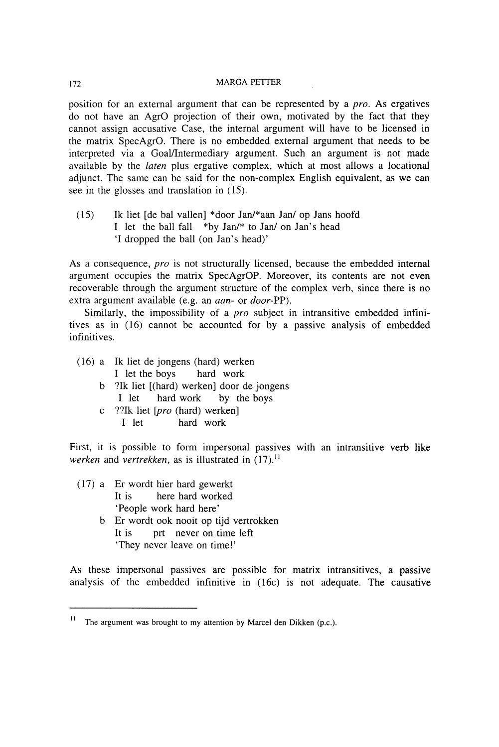position for an external argument that can be represented by a *pro.* As ergatives do not have an AgrO projection of their own, motivated by the fact that they cannot assign accusative Case, the internal argument will have to be licensed in the matrix SpecAgrO. There is no embedded external argument that needs to be interpreted via a Goal/Intermediary argument. Such an argument is not made available by the *laten* plus ergative complex, which at most allows a locational adjunct. The same can be said for the non-complex English equivalent, as we can see in the glosses and translation in (15).

(15) Ik liet [de bal vallen] \*door Jan/\*aan Jan/ op Jans hoofd I let the ball fall \*by Jan/\* to Jan/ on Jan's head 'I dropped the ball (on Jan's head)'

As a consequence, *pro* is not structurally licensed, because the embedded internal argument occupies the matrix SpecAgrOP. Moreover, its contents are not even recoverable through the argument structure of the complex verb, since there is no extra argument available (e.g. an *aan-* or *door-*PP).

Similarly, the impossibility of a *pro* subject in intransitive embedded infinitives as in (16) cannot be accounted for by a passive analysis of embedded infinitives.

- (16) a Ik liet de jongens (hard) werken I let the boys hard work
	- b ?Ik liet [(hard) werken] door de jongens I let hard work by the boys
	- c ??Ik liet *[pro* (hard) werken] I let hard work

First, it is possible to form impersonal passives with an intransitive verb like *werken* and *vertrekken*, as is illustrated in (17).<sup>11</sup>

- (17) a Er wordt hier hard gewerkt It is here hard worked 'People work hard here'
	- b Er wordt ook nooit op tijd vertrokken It is prt never on time left 'They never leave on time!'

As these impersonal passives are possible for matrix intransitives, a passive analysis of the embedded infinitive in (16c) is not adequate. The causative

The argument was brought to my attention by Marcel den Dikken (p.c.).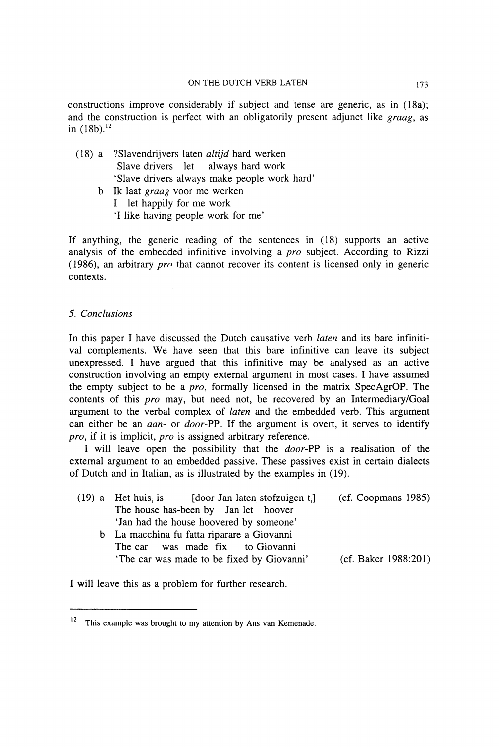constructions improve considerably if subject and tense are generic, as in (18a); and the construction is perfect with an obligatorily present adjunct like *graag,* as in  $(18b)^{12}$ 

- (18) a ?Slavendrijvers laten *altijd* hard werken Slave drivers let always hard work 'Slave drivers always make people work hard'
	- b Ik laat *graag* voor me werken
		- I let happily for me work
		- 'I like having people work for me'

If anything, the generic reading of the sentences in (18) supports an active analysis of the embedded infinitive involving a *pro* subject. According to Rizzi (1986), an arbitrary *pro* that cannot recover its content is licensed only in generic contexts.

## 5. *Conclusions*

In this paper I have discussed the Dutch causative verb *laten* and its bare infinitival complements. We have seen that this bare infinitive can leave its subject unexpressed. I have argued that this infinitive may be analysed as an active construction involving an empty external argument in most cases. I have assumed the empty subject to be a *pro,* formally licensed in the matrix SpecAgrOP. The contents of this *pro* may, but need not, be recovered by an Intermediary/Goal argument to the verbal complex of *laten* and the embedded verb. This argument can either be an *aan-* or *door-PP.* If the argument is overt, it serves to identify *pro,* if it is implicit, *pro* is assigned arbitrary reference.

I will leave open the possibility that the *door-PP* is a realisation of the external argument to an embedded passive. These passives exist in certain dialects of Dutch and in Italian, as is illustrated by the examples in (19).

|  | $(19)$ a Het huis is [door Jan laten stofzuigen t.] | (cf. Coopmans 1985)  |
|--|-----------------------------------------------------|----------------------|
|  | The house has-been by Jan let hoover                |                      |
|  | 'Jan had the house hoovered by someone'             |                      |
|  | b La macchina fu fatta riparare a Giovanni          |                      |
|  | The car was made fix to Giovanni                    |                      |
|  | 'The car was made to be fixed by Giovanni'          | (cf. Baker 1988:201) |
|  |                                                     |                      |

I will leave this as a problem for further research.

 $12$  This example was brought to my attention by Ans van Kemenade.